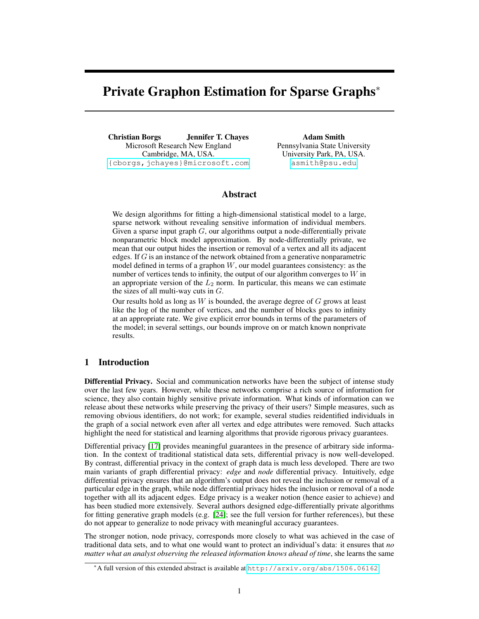# Private Graphon Estimation for Sparse Graphs<sup>∗</sup>

Christian Borgs Jennifer T. Chayes Microsoft Research New England Cambridge, MA, USA. <{cborgs,jchayes}@microsoft.com>

Adam Smith Pennsylvania State University University Park, PA, USA. <asmith@psu.edu>

# Abstract

We design algorithms for fitting a high-dimensional statistical model to a large, sparse network without revealing sensitive information of individual members. Given a sparse input graph  $G$ , our algorithms output a node-differentially private nonparametric block model approximation. By node-differentially private, we mean that our output hides the insertion or removal of a vertex and all its adjacent edges. If G is an instance of the network obtained from a generative nonparametric model defined in terms of a graphon  $W$ , our model guarantees consistency: as the number of vertices tends to infinity, the output of our algorithm converges to  $W$  in an appropriate version of the  $L_2$  norm. In particular, this means we can estimate the sizes of all multi-way cuts in  $G$ .

Our results hold as long as  $W$  is bounded, the average degree of  $G$  grows at least like the log of the number of vertices, and the number of blocks goes to infinity at an appropriate rate. We give explicit error bounds in terms of the parameters of the model; in several settings, our bounds improve on or match known nonprivate results.

# 1 Introduction

Differential Privacy. Social and communication networks have been the subject of intense study over the last few years. However, while these networks comprise a rich source of information for science, they also contain highly sensitive private information. What kinds of information can we release about these networks while preserving the privacy of their users? Simple measures, such as removing obvious identifiers, do not work; for example, several studies reidentified individuals in the graph of a social network even after all vertex and edge attributes were removed. Such attacks highlight the need for statistical and learning algorithms that provide rigorous privacy guarantees.

Differential privacy [17] provides meaningful guarantees in the presence of arbitrary side information. In the context of traditional statistical data sets, differential privacy is now well-developed. By contrast, differential privacy in the context of graph data is much less developed. There are two main variants of graph differential privacy: *edge* and *node* differential privacy. Intuitively, edge differential privacy ensures that an algorithm's output does not reveal the inclusion or removal of a particular edge in the graph, while node differential privacy hides the inclusion or removal of a node together with all its adjacent edges. Edge privacy is a weaker notion (hence easier to achieve) and has been studied more extensively. Several authors designed edge-differentially private algorithms for fitting generative graph models (e.g. [24]; see the full version for further references), but these do not appear to generalize to node privacy with meaningful accuracy guarantees.

The stronger notion, node privacy, corresponds more closely to what was achieved in the case of traditional data sets, and to what one would want to protect an individual's data: it ensures that *no matter what an analyst observing the released information knows ahead of time*, she learns the same

<sup>∗</sup>A full version of this extended abstract is available at <http://arxiv.org/abs/1506.06162>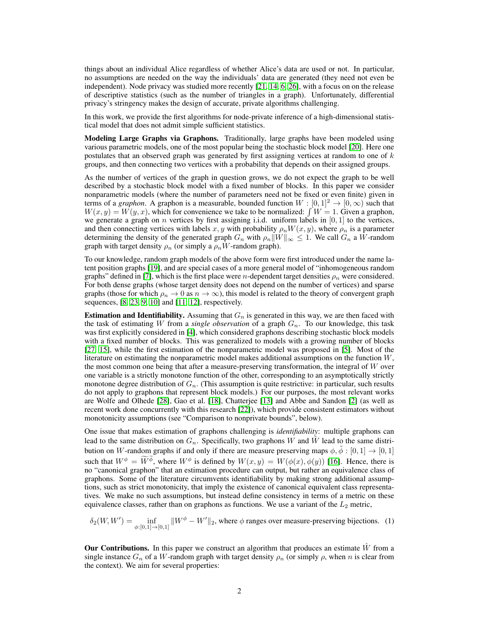things about an individual Alice regardless of whether Alice's data are used or not. In particular, no assumptions are needed on the way the individuals' data are generated (they need not even be independent). Node privacy was studied more recently [21, 14, 6, 26], with a focus on on the release of descriptive statistics (such as the number of triangles in a graph). Unfortunately, differential privacy's stringency makes the design of accurate, private algorithms challenging.

In this work, we provide the first algorithms for node-private inference of a high-dimensional statistical model that does not admit simple sufficient statistics.

Modeling Large Graphs via Graphons. Traditionally, large graphs have been modeled using various parametric models, one of the most popular being the stochastic block model [20]. Here one postulates that an observed graph was generated by first assigning vertices at random to one of  $k$ groups, and then connecting two vertices with a probability that depends on their assigned groups.

As the number of vertices of the graph in question grows, we do not expect the graph to be well described by a stochastic block model with a fixed number of blocks. In this paper we consider nonparametric models (where the number of parameters need not be fixed or even finite) given in terms of a *graphon*. A graphon is a measurable, bounded function  $W : [0,1]^2 \rightarrow [0,\infty)$  such that  $W(x, y) = W(y, x)$ , which for convenience we take to be normalized:  $\int W = 1$ . Given a graphon, we generate a graph on *n* vertices by first assigning i.i.d. uniform labels in  $[0, 1]$  to the vertices, and then connecting vertices with labels x, y with probability  $\rho_n W(x, y)$ , where  $\rho_n$  is a parameter determining the density of the generated graph  $G_n$  with  $\rho_n||W||_{\infty} \leq 1$ . We call  $G_n$  a W-random graph with target density  $\rho_n$  (or simply a  $\rho_n W$ -random graph).

To our knowledge, random graph models of the above form were first introduced under the name latent position graphs [19], and are special cases of a more general model of "inhomogeneous random graphs" defined in [7], which is the first place were *n*-dependent target densities  $\rho_n$  were considered. For both dense graphs (whose target density does not depend on the number of vertices) and sparse graphs (those for which  $\rho_n \to 0$  as  $n \to \infty$ ), this model is related to the theory of convergent graph sequences, [8, 23, 9, 10] and [11, 12], respectively.

**Estimation and Identifiability.** Assuming that  $G_n$  is generated in this way, we are then faced with the task of estimating W from a *single observation* of a graph  $G_n$ . To our knowledge, this task was first explicitly considered in [4], which considered graphons describing stochastic block models with a fixed number of blocks. This was generalized to models with a growing number of blocks [27, 15], while the first estimation of the nonparametric model was proposed in [5]. Most of the literature on estimating the nonparametric model makes additional assumptions on the function  $W$ , the most common one being that after a measure-preserving transformation, the integral of  $W$  over one variable is a strictly monotone function of the other, corresponding to an asymptotically strictly monotone degree distribution of  $G_n$ . (This assumption is quite restrictive: in particular, such results do not apply to graphons that represent block models.) For our purposes, the most relevant works are Wolfe and Olhede [28], Gao et al. [18], Chatterjee [13] and Abbe and Sandon [2] (as well as recent work done concurrently with this research [22]), which provide consistent estimators without monotonicity assumptions (see "Comparison to nonprivate bounds", below).

One issue that makes estimation of graphons challenging is *identifiability*: multiple graphons can lead to the same distribution on  $G_n$ . Specifically, two graphons W and W lead to the same distribution on W-random graphs if and only if there are measure preserving maps  $\phi$ ,  $\tilde{\phi}$  :  $[0,1] \rightarrow [0,1]$ such that  $W^{\phi} = \tilde{W}^{\phi}$ , where  $W^{\phi}$  is defined by  $W(x, y) = W(\phi(x), \phi(y))$  [16]. Hence, there is no "canonical graphon" that an estimation procedure can output, but rather an equivalence class of graphons. Some of the literature circumvents identifiability by making strong additional assumptions, such as strict monotonicity, that imply the existence of canonical equivalent class representatives. We make no such assumptions, but instead define consistency in terms of a metric on these equivalence classes, rather than on graphons as functions. We use a variant of the  $L_2$  metric,

$$
\delta_2(W, W') = \inf_{\phi:[0,1] \to [0,1]} \|W^{\phi} - W'\|_2
$$
, where  $\phi$  ranges over measure-preserving bijections. (1)

Our Contributions. In this paper we construct an algorithm that produces an estimate  $\hat{W}$  from a single instance  $G_n$  of a W-random graph with target density  $\rho_n$  (or simply  $\rho$ , when n is clear from the context). We aim for several properties: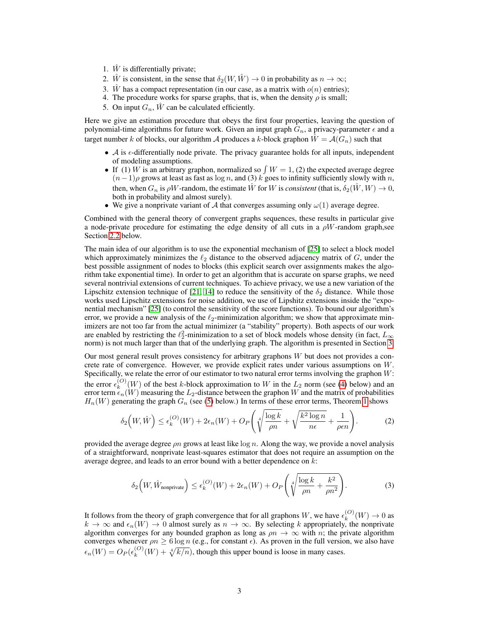- 1.  $\hat{W}$  is differentially private;
- 2. W is consistent, in the sense that  $\delta_2(W, \hat{W}) \to 0$  in probability as  $n \to \infty$ ;
- 3. W has a compact representation (in our case, as a matrix with  $o(n)$  entries);
- 4. The procedure works for sparse graphs, that is, when the density  $\rho$  is small;
- 5. On input  $G_n$ ,  $\hat{W}$  can be calculated efficiently.

Here we give an estimation procedure that obeys the first four properties, leaving the question of polynomial-time algorithms for future work. Given an input graph  $G_n$ , a privacy-parameter  $\epsilon$  and a target number k of blocks, our algorithm A produces a k-block graphon  $\hat{W} = \mathcal{A}(G_n)$  such that

- $\mathcal A$  is  $\epsilon$ -differentially node private. The privacy guarantee holds for all inputs, independent of modeling assumptions.
- If (1) W is an arbitrary graphon, normalized so  $\int W = 1$ , (2) the expected average degree  $(n-1)\rho$  grows at least as fast as log n, and (3) k goes to infinity sufficiently slowly with n, then, when  $G_n$  is  $\rho W$ -random, the estimate W for W is *consistent* (that is,  $\delta_2(\hat{W}, W) \to 0$ , both in probability and almost surely).
- We give a nonprivate variant of A that converges assuming only  $\omega(1)$  average degree.

Combined with the general theory of convergent graphs sequences, these results in particular give a node-private procedure for estimating the edge density of all cuts in a  $\rho W$ -random graph, see Section 2.2 below.

The main idea of our algorithm is to use the exponential mechanism of [25] to select a block model which approximately minimizes the  $\ell_2$  distance to the observed adjacency matrix of G, under the best possible assignment of nodes to blocks (this explicit search over assignments makes the algorithm take exponential time). In order to get an algorithm that is accurate on sparse graphs, we need several nontrivial extensions of current techniques. To achieve privacy, we use a new variation of the Lipschitz extension technique of [21, 14] to reduce the sensitivity of the  $\delta_2$  distance. While those works used Lipschitz extensions for noise addition, we use of Lipshitz extensions inside the "exponential mechanism" [25] (to control the sensitivity of the score functions). To bound our algorithm's error, we provide a new analysis of the  $\ell_2$ -minimization algorithm; we show that approximate minimizers are not too far from the actual minimizer (a "stability" property). Both aspects of our work are enabled by restricting the  $\ell_2^2$ -minimization to a set of block models whose density (in fact,  $L_{\infty}$ norm) is not much larger than that of the underlying graph. The algorithm is presented in Section 3.

Our most general result proves consistency for arbitrary graphons  $W$  but does not provides a concrete rate of convergence. However, we provide explicit rates under various assumptions on W. Specifically, we relate the error of our estimator to two natural error terms involving the graphon W: the error  $\epsilon_k^{(O)}$  $k^{(O)}(W)$  of the best k-block approximation to W in the  $L_2$  norm (see (4) below) and an error term  $\epsilon_n(W)$  measuring the  $L_2$ -distance between the graphon W and the matrix of probabilities  $H_n(W)$  generating the graph  $G_n$  (see (5) below.) In terms of these error terms, Theorem 1 shows

$$
\delta_2\left(W,\hat{W}\right) \le \epsilon_k^{(O)}(W) + 2\epsilon_n(W) + O_P\left(\sqrt[4]{\frac{\log k}{\rho n}} + \sqrt{\frac{k^2\log n}{n\epsilon}} + \frac{1}{\rho\epsilon n}\right). \tag{2}
$$

provided the average degree  $\rho n$  grows at least like  $\log n$ . Along the way, we provide a novel analysis of a straightforward, nonprivate least-squares estimator that does not require an assumption on the average degree, and leads to an error bound with a better dependence on k:

$$
\delta_2\left(W, \hat{W}_{\text{nonprivate}}\right) \le \epsilon_k^{(O)}(W) + 2\epsilon_n(W) + O_P\left(\sqrt[4]{\frac{\log k}{\rho n} + \frac{k^2}{\rho n^2}}\right). \tag{3}
$$

It follows from the theory of graph convergence that for all graphons W, we have  $\epsilon_k^{(O)}$  $_{k}^{(O)}(W) \rightarrow 0$  as  $k \to \infty$  and  $\epsilon_n(W) \to 0$  almost surely as  $n \to \infty$ . By selecting k appropriately, the nonprivate algorithm converges for any bounded graphon as long as  $\rho n \to \infty$  with n; the private algorithm converges whenever  $\rho n \ge 6 \log n$  (e.g., for constant  $\epsilon$ ). As proven in the full version, we also have  $\epsilon_n(W) = O_P(\epsilon_k^{(O)})$  $\binom{N}{k}(W) + \sqrt[4]{k/n}$ , though this upper bound is loose in many cases.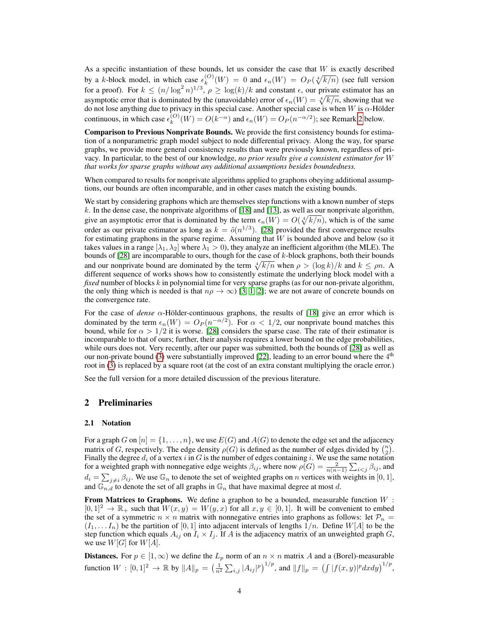As a specific instantiation of these bounds, let us consider the case that  $W$  is exactly described by a k-block model, in which case  $\epsilon_k^{(O)}$  $(k_n^{(O)}(W) = 0$  and  $\epsilon_n(W) = O_P(\sqrt[4]{k/n})$  (see full version for a proof). For  $k \leq (n/\log^2 n)^{1/3}$ ,  $\rho \geq \log(k)/k$  and constant  $\epsilon$ , our private estimator has an asymptotic error that is dominated by the (unavoidable) error of  $\epsilon_n(W) = \sqrt[4]{k/n}$ , showing that we do not lose anything due to privacy in this special case. Another special case is when W is  $\alpha$ -Hölder continuous, in which case  $\epsilon_k^{(O)}$  $k_k^{(O)}(W) = O(k^{-\alpha})$  and  $\epsilon_n(W) = O_P(n^{-\alpha/2})$ ; see Remark 2 below.

Comparison to Previous Nonprivate Bounds. We provide the first consistency bounds for estimation of a nonparametric graph model subject to node differential privacy. Along the way, for sparse graphs, we provide more general consistency results than were previously known, regardless of privacy. In particular, to the best of our knowledge, *no prior results give a consistent estimator for* W *that works for sparse graphs without any additional assumptions besides boundedness.*

When compared to results for nonprivate algorithms applied to graphons obeying additional assumptions, our bounds are often incomparable, and in other cases match the existing bounds.

We start by considering graphons which are themselves step functions with a known number of steps  $k$ . In the dense case, the nonprivate algorithms of [18] and [13], as well as our nonprivate algorithm, give an asymptotic error that is dominated by the term  $\epsilon_n(W) = O(\sqrt[4]{k/n})$ , which is of the same order as our private estimator as long as  $k = \tilde{o}(n^{1/3})$ . [28] provided the first convergence results for estimating graphons in the sparse regime. Assuming that  $W$  is bounded above and below (so it takes values in a range  $[\lambda_1, \lambda_2]$  where  $\lambda_1 > 0$ ), they analyze an inefficient algorithm (the MLE). The bounds of [28] are incomparable to ours, though for the case of k-block graphons, both their bounds and our nonprivate bound are dominated by the term  $\sqrt[4]{k/n}$  when  $\rho > (\log k)/k$  and  $k \le \rho n$ . different sequence of works shows how to consistently estimate the underlying block model with a *fixed* number of blocks k in polynomial time for very sparse graphs (as for our non-private algorithm, the only thing which is needed is that  $n\rho \to \infty$  [3, 1, 2]; we are not aware of concrete bounds on the convergence rate.

For the case of *dense*  $\alpha$ -Hölder-continuous graphons, the results of [18] give an error which is dominated by the term  $\epsilon_n(W) = O_P(n^{-\alpha/2})$ . For  $\alpha < 1/2$ , our nonprivate bound matches this bound, while for  $\alpha > 1/2$  it is worse. [28] considers the sparse case. The rate of their estimator is incomparable to that of ours; further, their analysis requires a lower bound on the edge probabilities, while ours does not. Very recently, after our paper was submitted, both the bounds of [28] as well as our non-private bound (3) were substantially improved [22], leading to an error bound where the  $4<sup>th</sup>$ root in (3) is replaced by a square root (at the cost of an extra constant multiplying the oracle error.)

See the full version for a more detailed discussion of the previous literature.

## 2 Preliminaries

#### 2.1 Notation

For a graph G on  $[n] = \{1, \ldots, n\}$ , we use  $E(G)$  and  $A(G)$  to denote the edge set and the adjacency matrix of G, respectively. The edge density  $\rho(G)$  is defined as the number of edges divided by  $\binom{n}{2}$ . Finally the degree  $d_i$  of a vertex i in G is the number of edges containing i. We use the same notation for a weighted graph with nonnegative edge weights  $\beta_{ij}$ , where now  $\rho(G) = \frac{2}{n(n-1)} \sum_{i < j} \beta_{ij}$ , and  $d_i = \sum_{j \neq i} \beta_{ij}$ . We use  $\mathbb{G}_n$  to denote the set of weighted graphs on n vertices with weights in [0, 1], and  $\mathbb{G}_{n,d}$  to denote the set of all graphs in  $\mathbb{G}_n$  that have maximal degree at most d.

From Matrices to Graphons. We define a graphon to be a bounded, measurable function  $W$ :  $[0,1]^2 \rightarrow \mathbb{R}_+$  such that  $W(x,y) = W(y,x)$  for all  $x,y \in [0,1]$ . It will be convenient to embed the set of a symmetric  $n \times n$  matrix with nonnegative entries into graphons as follows: let  $\mathcal{P}_n$  =  $(I_1, \ldots, I_n)$  be the partition of  $[0, 1]$  into adjacent intervals of lengths  $1/n$ . Define  $W[A]$  to be the step function which equals  $A_{ij}$  on  $I_i \times I_j$ . If A is the adjacency matrix of an unweighted graph G, we use  $W[G]$  for  $W[A]$ .

**Distances.** For  $p \in [1, \infty)$  we define the  $L_p$  norm of an  $n \times n$  matrix A and a (Borel)-measurable function  $W : [0,1]^2 \to \mathbb{R}$  by  $||A||_p = \left(\frac{1}{n^2} \sum_{i,j} |A_{ij}|^p\right)^{1/p}$ , and  $||f||_p = \left(\int |f(x,y)|^p dx dy\right)^{1/p}$ ,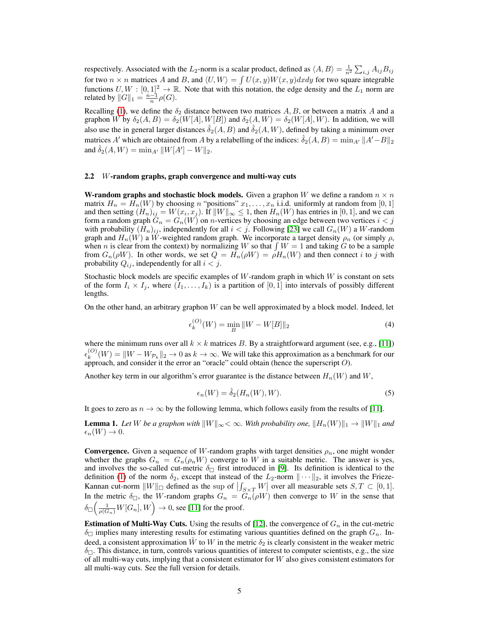respectively. Associated with the  $L_2$ -norm is a scalar product, defined as  $\langle A, B \rangle = \frac{1}{n^2} \sum_{i,j} A_{ij} B_{ij}$ for two  $n \times n$  matrices A and B, and  $\langle U, W \rangle = \int U(x, y)W(x, y)dxdy$  for two square integrable functions  $U, W : [0, 1]^2 \to \mathbb{R}$ . Note that with this notation, the edge density and the  $L_1$  norm are related by  $||G||_1 = \frac{n-1}{n} \rho(G)$ .

Recalling (1), we define the  $\delta_2$  distance between two matrices A, B, or between a matrix A and a graphon W by  $\delta_2(A, B) = \delta_2(W[A], W[B])$  and  $\delta_2(A, W) = \delta_2(W[A], W)$ . In addition, we will also use the in general larger distances  $\delta_2(A, B)$  and  $\delta_2(A, W)$ , defined by taking a minimum over matrices A' which are obtained from A by a relabelling of the indices:  $\hat{\delta}_2(A, B) = \min_{A'} ||A' - B||_2$ and  $\hat{\delta}_2(A, W) = \min_{A'} ||W[A'] - W||_2$ .

## 2.2 W-random graphs, graph convergence and multi-way cuts

W-random graphs and stochastic block models. Given a graphon W we define a random  $n \times n$ matrix  $H_n = H_n(W)$  by choosing n "positions"  $x_1, \ldots, x_n$  i.i.d. uniformly at random from [0, 1] and then setting  $(H_n)_{ij} = W(x_i, x_j)$ . If  $||W||_{\infty} \leq 1$ , then  $H_n(W)$  has entries in [0, 1], and we can form a random graph  $G_n = G_n(W)$  on *n*-vertices by choosing an edge between two vertices  $i < j$ with probability  $(H_n)_{ij}$ , independently for all  $i < j$ . Following [23] we call  $G_n(W)$  a W-random graph and  $H_n(W)$  a W-weighted random graph. We incorporate a target density  $\rho_n$  (or simply  $\rho$ , when n is clear from the context) by normalizing W so that  $\int W = 1$  and taking G to be a sample from  $G_n(\rho W)$ . In other words, we set  $Q = H_n(\rho W) = \rho H_n(W)$  and then connect i to j with probability  $Q_{ij}$ , independently for all  $i < j$ .

Stochastic block models are specific examples of W-random graph in which W is constant on sets of the form  $I_i \times I_j$ , where  $(I_1, \ldots, I_k)$  is a partition of  $[0, 1]$  into intervals of possibly different lengths.

On the other hand, an arbitrary graphon  $W$  can be well approximated by a block model. Indeed, let

$$
\epsilon_k^{(O)}(W) = \min_B \|W - W[B]\|_2 \tag{4}
$$

where the minimum runs over all  $k \times k$  matrices B. By a straightforward argument (see, e.g., [11])  $\epsilon_k^{(O)}$  $k_k^{(O)}(W) = ||W - W_{\mathcal{P}_k}||_2 \to 0$  as  $k \to \infty$ . We will take this approximation as a benchmark for our approach, and consider it the error an "oracle" could obtain (hence the superscript  $O$ ).

Another key term in our algorithm's error guarantee is the distance between  $H_n(W)$  and  $W$ ,

$$
\epsilon_n(W) = \hat{\delta}_2(H_n(W), W). \tag{5}
$$

It goes to zero as  $n \to \infty$  by the following lemma, which follows easily from the results of [11].

**Lemma 1.** Let W be a graphon with  $||W||_{\infty} < \infty$ . With probability one,  $||H_n(W)||_1 \rightarrow ||W||_1$  and  $\epsilon_n(W) \to 0.$ 

**Convergence.** Given a sequence of W-random graphs with target densities  $\rho_n$ , one might wonder whether the graphs  $G_n = G_n(\rho_n W)$  converge to W in a suitable metric. The answer is yes, and involves the so-called cut-metric  $\delta_{\Box}$  first introduced in [9]. Its definition is identical to the definition (1) of the norm  $\delta_2$ , except that instead of the  $L_2$ -norm  $\|\cdots\|_2$ , it involves the Frieze-Kannan cut-norm  $||W||_{\square}$  defined as the sup of  $\left| \int_{S \times T} W \right|$  over all measurable sets  $S, T \subset [0, 1]$ . In the metric  $\delta_{\Box}$ , the W-random graphs  $G_n = G_n(\rho W)$  then converge to W in the sense that  $\delta_{\square} \Big(\frac{1}{\rho(G_n)}W[G_n],W\Big)\rightarrow 0,$  see [11] for the proof.

**Estimation of Multi-Way Cuts.** Using the results of [12], the convergence of  $G_n$  in the cut-metric  $\delta_{\square}$  implies many interesting results for estimating various quantities defined on the graph  $G_n$ . Indeed, a consistent approximation  $\hat{W}$  to W in the metric  $\delta_2$  is clearly consistent in the weaker metric  $\delta_{\square}$ . This distance, in turn, controls various quantities of interest to computer scientists, e.g., the size of all multi-way cuts, implying that a consistent estimator for  $W$  also gives consistent estimators for all multi-way cuts. See the full version for details.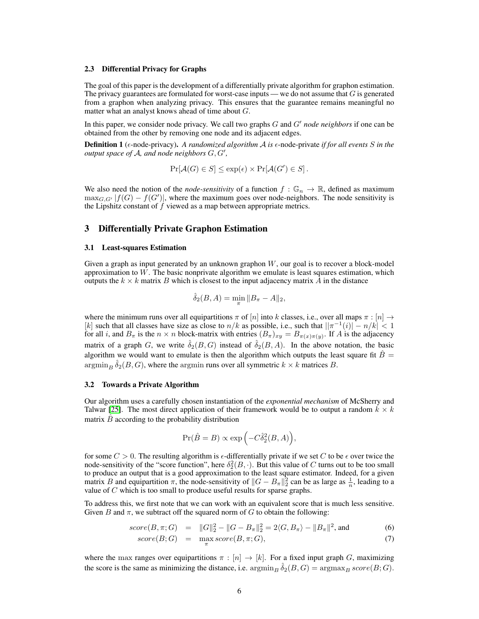## 2.3 Differential Privacy for Graphs

The goal of this paper is the development of a differentially private algorithm for graphon estimation. The privacy guarantees are formulated for worst-case inputs — we do not assume that  $G$  is generated from a graphon when analyzing privacy. This ensures that the guarantee remains meaningful no matter what an analyst knows ahead of time about G.

In this paper, we consider node privacy. We call two graphs  $G$  and  $G'$  *node neighbors* if one can be obtained from the other by removing one node and its adjacent edges.

Definition 1 ( $\epsilon$ -node-privacy). A randomized algorithm A is  $\epsilon$ -node-private *if for all events* S in the *output space of A, and node neighbors*  $G, G'$ ,

$$
\Pr[\mathcal{A}(G) \in S] \le \exp(\epsilon) \times \Pr[\mathcal{A}(G') \in S].
$$

We also need the notion of the *node-sensitivity* of a function  $f : \mathbb{G}_n \to \mathbb{R}$ , defined as maximum  $\max_{G, G'} |f(G) - f(G')|$ , where the maximum goes over node-neighbors. The node sensitivity is the Lipshitz constant of  $f$  viewed as a map between appropriate metrics.

# 3 Differentially Private Graphon Estimation

#### 3.1 Least-squares Estimation

Given a graph as input generated by an unknown graphon  $W$ , our goal is to recover a block-model approximation to  $W$ . The basic nonprivate algorithm we emulate is least squares estimation, which outputs the  $k \times k$  matrix B which is closest to the input adjacency matrix A in the distance

$$
\hat{\delta}_2(B, A) = \min_{\pi} \|B_{\pi} - A\|_2,
$$

where the minimum runs over all equipartitions  $\pi$  of  $[n]$  into k classes, i.e., over all maps  $\pi : [n] \rightarrow$ [k] such that all classes have size as close to  $n/k$  as possible, i.e., such that  $||\pi^{-1}(i)| - n/k| < 1$ for all *i*, and  $B_{\pi}$  is the  $n \times n$  block-matrix with entries  $(B_{\pi})_{xy} = B_{\pi(x)\pi(y)}$ . If A is the adjacency matrix of a graph G, we write  $\delta_2(B, G)$  instead of  $\delta_2(B, A)$ . In the above notation, the basic algorithm we would want to emulate is then the algorithm which outputs the least square fit  $\hat{B} =$  $\operatorname{argmin}_B \hat{\delta}_2(B, G)$ , where the argmin runs over all symmetric  $k \times k$  matrices B.

#### 3.2 Towards a Private Algorithm

Our algorithm uses a carefully chosen instantiation of the *exponential mechanism* of McSherry and Talwar [25]. The most direct application of their framework would be to output a random  $k \times k$ matrix  $B$  according to the probability distribution

$$
\Pr(\hat{B} = B) \propto \exp\left(-C\hat{\delta}_2^2(B, A)\right),\,
$$

for some  $C > 0$ . The resulting algorithm is  $\epsilon$ -differentially private if we set C to be  $\epsilon$  over twice the node-sensitivity of the "score function", here  $\delta_2^2(B, \cdot)$ . But this value of C turns out to be too small to produce an output that is a good approximation to the least square estimator. Indeed, for a given matrix B and equipartition  $\pi$ , the node-sensitivity of  $||G - B_{\pi}||_2^2$  can be as large as  $\frac{1}{n}$ , leading to a value of  $C$  which is too small to produce useful results for sparse graphs.

To address this, we first note that we can work with an equivalent score that is much less sensitive. Given B and  $\pi$ , we subtract off the squared norm of G to obtain the following:

$$
score(B, \pi; G) = ||G||_2^2 - ||G - B_{\pi}||_2^2 = 2\langle G, B_{\pi}\rangle - ||B_{\pi}||^2, \text{ and } (6)
$$
  

$$
score(B; G) = \max_{\pi} score(B, \pi; G),
$$
 (7)

where the max ranges over equipartitions  $\pi : [n] \to [k]$ . For a fixed input graph G, maximizing the score is the same as minimizing the distance, i.e.  $\operatorname{argmin}_B \hat{\delta}_2(B, G) = \operatorname{argmax}_B score(B; G)$ .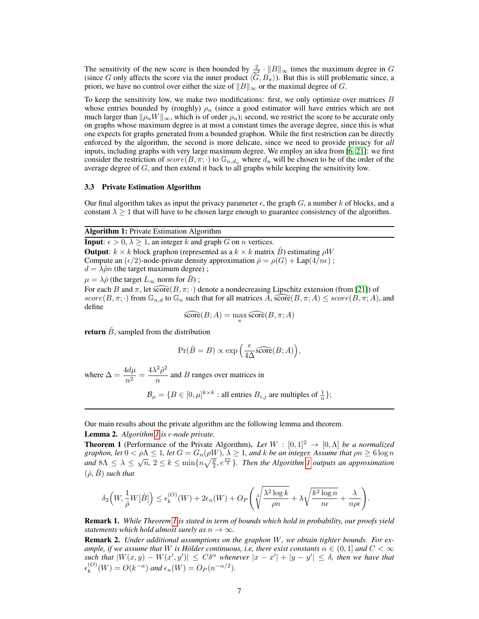The sensitivity of the new score is then bounded by  $\frac{2}{n^2} \cdot ||B||_{\infty}$  times the maximum degree in G (since G only affects the score via the inner product  $\langle \tilde{G}, B_{\pi} \rangle$ ). But this is still problematic since, a priori, we have no control over either the size of  $||B||_{\infty}$  or the maximal degree of G.

To keep the sensitivity low, we make two modifications: first, we only optimize over matrices  $B$ whose entries bounded by (roughly)  $\rho_n$  (since a good estimator will have entries which are not much larger than  $\|\rho_n W\|_{\infty}$ , which is of order  $\rho_n$ ); second, we restrict the score to be accurate only on graphs whose maximum degree is at most a constant times the average degree, since this is what one expects for graphs generated from a bounded graphon. While the first restriction can be directly enforced by the algorithm, the second is more delicate, since we need to provide privacy for *all* inputs, including graphs with very large maximum degree. We employ an idea from [6, 21]: we first consider the restriction of  $score(B, \pi; \cdot)$  to  $\mathbb{G}_{n,d_n}$  where  $d_n$  will be chosen to be of the order of the average degree of  $G$ , and then extend it back to all graphs while keeping the sensitivity low.

#### 3.3 Private Estimation Algorithm

Our final algorithm takes as input the privacy parameter  $\epsilon$ , the graph G, a number k of blocks, and a constant  $\lambda \geq 1$  that will have to be chosen large enough to guarantee consistency of the algorithm.

## Algorithm 1: Private Estimation Algorithm

**Input:**  $\epsilon > 0$ ,  $\lambda \geq 1$ , an integer k and graph G on n vertices. **Output:**  $k \times k$  block graphon (represented as a  $k \times k$  matrix B) estimating  $\rho W$ Compute an  $(\epsilon/2)$ -node-private density approximation  $\hat{\rho} = \rho(G) + \text{Lap}(4/n\epsilon)$ ;  $d = \lambda \hat{\rho} n$  (the target maximum degree);  $\mu = \lambda \hat{\rho}$  (the target  $L_{\infty}$  norm for  $\hat{B}$ ); For each B and  $\pi$ , let  $\widehat{\text{score}}(B, \pi; \cdot)$  denote a nondecreasing Lipschitz extension (from [21]) of

 $score(B, \pi; \cdot)$  from  $\mathbb{G}_{n,d}$  to  $\mathbb{G}_n$  such that for all matrices  $A$ ,  $\widehat{score}(B, \pi; A) \leq score(B, \pi; A)$ , and define

$$
\widehat{\text{score}}(B; A) = \max_{\pi} \widehat{\text{score}}(B, \pi; A)
$$

return  $\hat{B}$ , sampled from the distribution

$$
\Pr(\hat{B} = B) \propto \exp\left(\frac{\epsilon}{4\Delta} \widehat{\text{score}}(B; A)\right),\,
$$

where  $\Delta = \frac{4d\mu}{n^2} = \frac{4\lambda^2 \hat{\rho}^2}{n}$  $\frac{p}{n}$  and *B* ranges over matrices in

 $\mathcal{B}_{\mu} = \{B \in [0, \mu]^{k \times k} : \text{all entries } B_{i,j} \text{ are multiples of } \frac{1}{n}\};$ 

Our main results about the private algorithm are the following lemma and theorem.

## Lemma 2. *Algorithm 1 is -node private.*

**Theorem 1** (Performance of the Private Algorithm). Let  $W : [0,1]^2 \rightarrow [0,\Lambda]$  be a normalized *graphon, let*  $0 < \rho \Lambda \leq 1$ , *let*  $G = G_n(\rho W)$ ,  $\lambda \geq 1$ , and  $k$  *be an integer. Assume that*  $\rho n \geq 6 \log n$ *and*  $8\Lambda \leq \lambda \leq \sqrt{n}, 2 \leq k \leq \min\{n\sqrt{\frac{p}{2}}, e^{\frac{\rho n}{2}}\}$ . Then the Algorithm 1 outputs an approximation  $(\hat{\rho}, \hat{B})$  *such that* 

$$
\delta_2\Big(W, \frac{1}{\hat{\rho}}W[\hat{B}]\Big) \leq \epsilon_k^{(O)}(W) + 2\epsilon_n(W) + O_P\Bigg(\sqrt[4]{\frac{\lambda^2\log k}{\rho n}} + \lambda\sqrt{\frac{k^2\log n}{n\epsilon}} + \frac{\lambda}{n\rho\epsilon}\Bigg).
$$

Remark 1. *While Theorem 1 is stated in term of bounds which hold in probability, our proofs yield statements which hold almost surely as*  $n \to \infty$ *.* 

Remark 2. *Under additional assumptions on the graphon* W*, we obtain tighter bounds. For example, if we assume that* W *is Hölder continuous, i.e, there exist constants*  $\alpha \in (0,1]$  *and*  $C < \infty$  $|S(x,y) - W(x',y')| \leq C\delta^{\alpha}$  whenever  $|x - x'| + |y - y'| \leq \delta$ , then we have that  $\epsilon_k^{(O)}$  $k^{(O)}(W) = O(k^{-\alpha})$  and  $\epsilon_n(W) = O_P(n^{-\alpha/2})$ .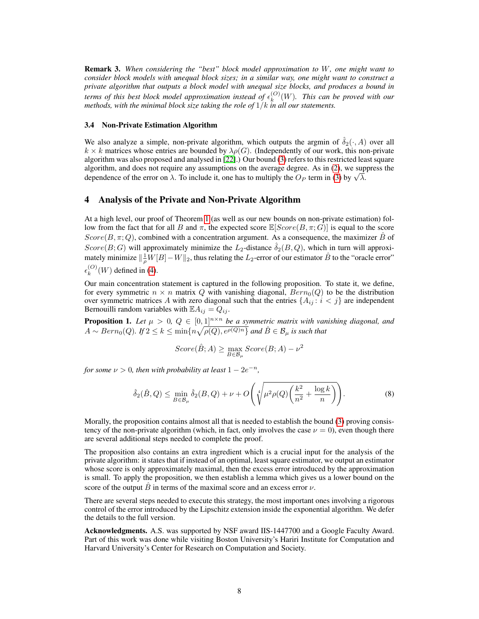Remark 3. *When considering the "best" block model approximation to* W*, one might want to consider block models with unequal block sizes; in a similar way, one might want to construct a private algorithm that outputs a block model with unequal size blocks, and produces a bound in terms of this best block model approximation instead of*  $\epsilon_k^{(O)}$  $\binom{O}{k}(W)$ . This can be proved with our *methods, with the minimal block size taking the role of* 1/k *in all our statements.*

## 3.4 Non-Private Estimation Algorithm

We also analyze a simple, non-private algorithm, which outputs the argmin of  $\hat{\delta}_2(\cdot, A)$  over all  $k \times k$  matrices whose entries are bounded by  $\lambda \rho(G)$ . (Independently of our work, this non-private algorithm was also proposed and analysed in [22].) Our bound (3) refers to this restricted least square algorithm, and does not require any assumptions on the average degree. As in (2), we suppress the algorithm, and does not require any assumptions on the average degree. As in (2), we sup<br>dependence of the error on  $\lambda$ . To include it, one has to multiply the  $O_P$  term in (3) by  $\sqrt{\lambda}$ .

# 4 Analysis of the Private and Non-Private Algorithm

At a high level, our proof of Theorem 1 (as well as our new bounds on non-private estimation) follow from the fact that for all B and  $\pi$ , the expected score  $\mathbb{E}[Score(B,\pi;G)]$  is equal to the score Score(B,  $\pi: Q$ ), combined with a concentration argument. As a consequence, the maximizer  $\hat{B}$  of  $Score(B;G)$  will approximately minimize the  $L_2$ -distance  $\hat{\delta}_2(B,Q)$ , which in turn will approximately minimize  $\|\frac{1}{\rho}W[B]-W\|_2$ , thus relating the  $L_2$ -error of our estimator  $\hat{B}$  to the "oracle error"  $\epsilon_k^{(O)}$  $_{k}^{(O)}(W)$  defined in (4).

Our main concentration statement is captured in the following proposition. To state it, we define, for every symmetric  $n \times n$  matrix Q with vanishing diagonal,  $Bern_0(Q)$  to be the distribution over symmetric matrices A with zero diagonal such that the entries  $\{A_{ij}: i < j\}$  are independent Bernouilli random variables with  $\mathbb{E} A_{ij} = Q_{ij}$ .

**Proposition 1.** Let  $\mu > 0$ ,  $Q \in [0,1]^{n \times n}$  be a symmetric matrix with vanishing diagonal, and  $A \sim Bern_0(Q)$ . If  $2 \leq k \leq \min\{n\sqrt{\rho(Q), e^{\rho(Q)n}\}}$  and  $\hat{B} \in \mathcal{B}_{\mu}$  is such that

$$
Score(\hat{B};A) \ge \max_{B \in \mathcal{B}_{\mu}}Score(B;A) - \nu^2
$$

*for some*  $\nu > 0$ , then with probability at least  $1 - 2e^{-n}$ ,

$$
\hat{\delta}_2(\hat{B}, Q) \le \min_{B \in \mathcal{B}_\mu} \hat{\delta}_2(B, Q) + \nu + O\left(\sqrt[4]{\mu^2 \rho(Q) \left(\frac{k^2}{n^2} + \frac{\log k}{n}\right)}\right).
$$
\n(8)

Morally, the proposition contains almost all that is needed to establish the bound (3) proving consistency of the non-private algorithm (which, in fact, only involves the case  $\nu = 0$ ), even though there are several additional steps needed to complete the proof.

The proposition also contains an extra ingredient which is a crucial input for the analysis of the private algorithm: it states that if instead of an optimal, least square estimator, we output an estimator whose score is only approximately maximal, then the excess error introduced by the approximation is small. To apply the proposition, we then establish a lemma which gives us a lower bound on the score of the output  $\hat{B}$  in terms of the maximal score and an excess error  $\nu$ .

There are several steps needed to execute this strategy, the most important ones involving a rigorous control of the error introduced by the Lipschitz extension inside the exponential algorithm. We defer the details to the full version.

Acknowledgments. A.S. was supported by NSF award IIS-1447700 and a Google Faculty Award. Part of this work was done while visiting Boston University's Hariri Institute for Computation and Harvard University's Center for Research on Computation and Society.